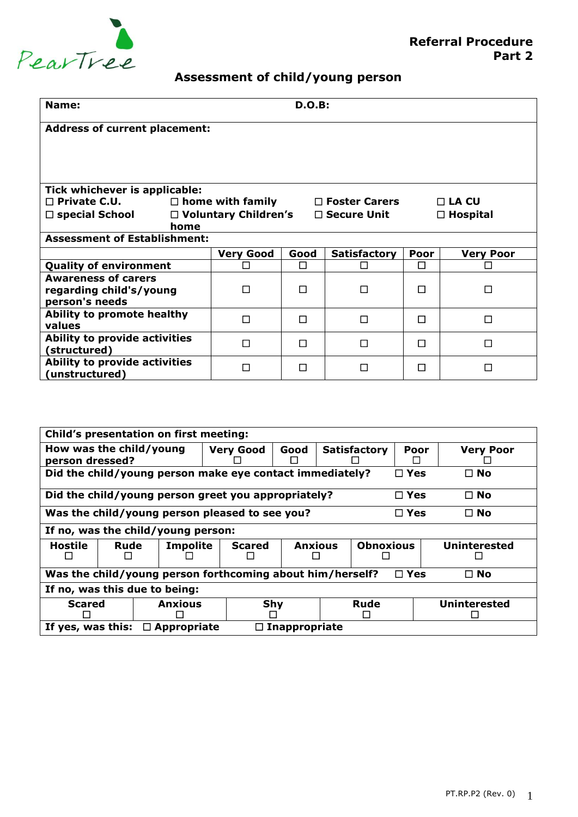

## **Assessment of child/young person**

| <b>D.O.B:</b><br>Name:                               |                                                                             |   |                                                |   |                 |  |  |
|------------------------------------------------------|-----------------------------------------------------------------------------|---|------------------------------------------------|---|-----------------|--|--|
|                                                      | <b>Address of current placement:</b>                                        |   |                                                |   |                 |  |  |
|                                                      |                                                                             |   |                                                |   |                 |  |  |
|                                                      |                                                                             |   |                                                |   |                 |  |  |
| Tick whichever is applicable:                        |                                                                             |   |                                                |   |                 |  |  |
| $\square$ Private C.U.                               |                                                                             |   | $\Box$ home with family $\Box$ Foster Carers   |   | $\Box$ LA CU    |  |  |
| $\square$ special School                             |                                                                             |   | $\Box$ Voluntary Children's $\Box$ Secure Unit |   | $\Box$ Hospital |  |  |
| home                                                 |                                                                             |   |                                                |   |                 |  |  |
| <b>Assessment of Establishment:</b>                  |                                                                             |   |                                                |   |                 |  |  |
|                                                      | <b>Very Good</b><br>Good<br>Poor<br><b>Satisfactory</b><br><b>Very Poor</b> |   |                                                |   |                 |  |  |
| <b>Quality of environment</b>                        |                                                                             | П | П                                              | П |                 |  |  |
| <b>Awareness of carers</b>                           |                                                                             |   |                                                |   |                 |  |  |
| regarding child's/young                              | П                                                                           | п | П                                              | П | П               |  |  |
| person's needs                                       |                                                                             |   |                                                |   |                 |  |  |
| Ability to promote healthy<br>values                 | □                                                                           | П | Π                                              | П | П               |  |  |
| <b>Ability to provide activities</b><br>(structured) | П                                                                           | П | П                                              | П | П               |  |  |
| Ability to provide activities<br>(unstructured)      | П                                                                           | п | П                                              | П |                 |  |  |

| Child's presentation on first meeting:                                                    |                                                                              |                                                     |                                                                 |                                    |      |                  |                     |              |
|-------------------------------------------------------------------------------------------|------------------------------------------------------------------------------|-----------------------------------------------------|-----------------------------------------------------------------|------------------------------------|------|------------------|---------------------|--------------|
| How was the child/young<br><b>Very Good</b><br>Good<br>person dressed?                    |                                                                              |                                                     |                                                                 | <b>Satisfactory</b>                | Poor | <b>Very Poor</b> |                     |              |
| Did the child/young person make eye contact immediately?<br>$\square$ Yes<br>$\square$ No |                                                                              |                                                     |                                                                 |                                    |      |                  |                     |              |
|                                                                                           |                                                                              | Did the child/young person greet you appropriately? |                                                                 |                                    |      |                  | $\Box$ Yes          | $\square$ No |
|                                                                                           | Was the child/young person pleased to see you?<br>$\Box$ Yes<br>$\square$ No |                                                     |                                                                 |                                    |      |                  |                     |              |
| If no, was the child/young person:                                                        |                                                                              |                                                     |                                                                 |                                    |      |                  |                     |              |
| Hostile                                                                                   | Rude                                                                         | <b>Impolite</b>                                     | <b>Scared</b>                                                   | <b>Anxious</b><br><b>Obnoxious</b> |      |                  | <b>Uninterested</b> |              |
| Was the child/young person forthcoming about him/herself?<br>$\Box$ Yes<br>$\square$ No   |                                                                              |                                                     |                                                                 |                                    |      |                  |                     |              |
| If no, was this due to being:                                                             |                                                                              |                                                     |                                                                 |                                    |      |                  |                     |              |
| <b>Scared</b>                                                                             |                                                                              | <b>Anxious</b>                                      |                                                                 | Shy<br>Rude<br><b>Uninterested</b> |      |                  |                     |              |
|                                                                                           | $\Box$                                                                       |                                                     | If yes, was this:<br><b>Appropriate</b><br>$\Box$ Inappropriate |                                    |      |                  |                     |              |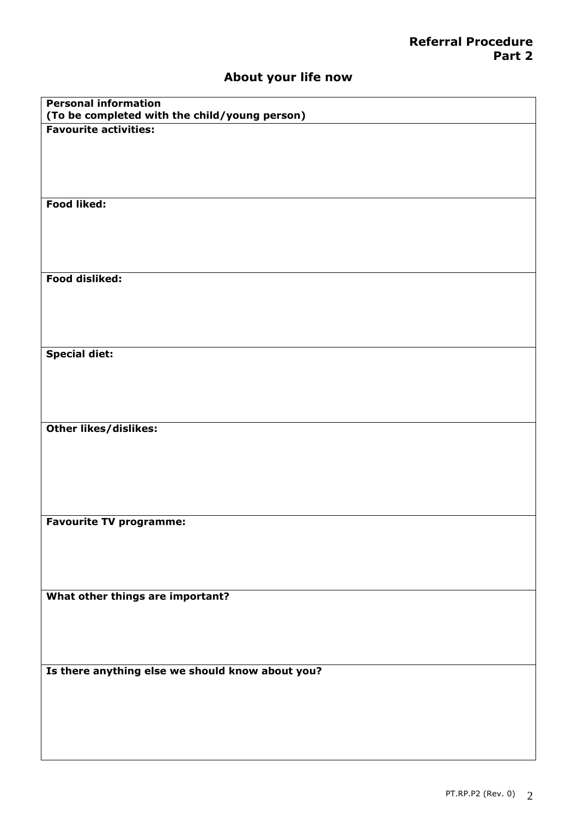## **About your life now**

| <b>Personal information</b><br>(To be completed with the child/young person) |
|------------------------------------------------------------------------------|
| <b>Favourite activities:</b>                                                 |
|                                                                              |
|                                                                              |
|                                                                              |
|                                                                              |
| Food liked:                                                                  |
|                                                                              |
|                                                                              |
|                                                                              |
| Food disliked:                                                               |
|                                                                              |
|                                                                              |
|                                                                              |
|                                                                              |
| <b>Special diet:</b>                                                         |
|                                                                              |
|                                                                              |
|                                                                              |
| <b>Other likes/dislikes:</b>                                                 |
|                                                                              |
|                                                                              |
|                                                                              |
|                                                                              |
|                                                                              |
| <b>Favourite TV programme:</b>                                               |
|                                                                              |
|                                                                              |
|                                                                              |
| What other things are important?                                             |
|                                                                              |
|                                                                              |
|                                                                              |
|                                                                              |
| Is there anything else we should know about you?                             |
|                                                                              |
|                                                                              |
|                                                                              |
|                                                                              |
|                                                                              |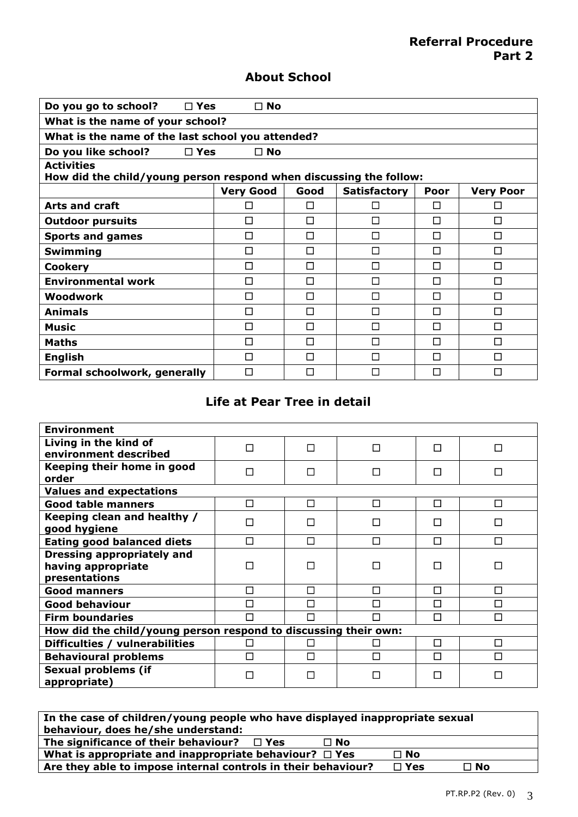## **About School**

| Do you go to school?<br>$\Box$ Yes                                                      | $\square$ No     |      |                     |      |                  |  |
|-----------------------------------------------------------------------------------------|------------------|------|---------------------|------|------------------|--|
| What is the name of your school?                                                        |                  |      |                     |      |                  |  |
| What is the name of the last school you attended?                                       |                  |      |                     |      |                  |  |
| $\square$ Yes<br>$\square$ No<br>Do you like school?                                    |                  |      |                     |      |                  |  |
| <b>Activities</b><br>How did the child/young person respond when discussing the follow: |                  |      |                     |      |                  |  |
|                                                                                         | <b>Very Good</b> | Good | <b>Satisfactory</b> | Poor | <b>Very Poor</b> |  |
| <b>Arts and craft</b>                                                                   | П                | □    | П                   | п    | П                |  |
| <b>Outdoor pursuits</b>                                                                 | п                | □    | П                   | п    | П                |  |
| <b>Sports and games</b>                                                                 | □                | П    | П                   | П    | П                |  |
| Swimming                                                                                | п                | П    | П                   | п    | П                |  |
| <b>Cookery</b>                                                                          | П                | □    | $\Box$              | П    | П                |  |
| <b>Environmental work</b>                                                               | П                | □    | □                   | П    | П                |  |
| Woodwork                                                                                | П                | П    | П                   | п    | П                |  |
| <b>Animals</b>                                                                          | П                | П    | П                   | п    | П                |  |
| Music                                                                                   | П                | □    | $\Box$              | п    | П                |  |
| <b>Maths</b>                                                                            | П                | П    | П                   | п    | П                |  |
| <b>English</b>                                                                          | П                | П    | П                   | п    | П                |  |
| Formal schoolwork, generally                                                            | П                | П    | П                   | п    | П                |  |

## **Life at Pear Tree in detail**

| <b>Environment</b>                                                       |   |   |   |   |        |
|--------------------------------------------------------------------------|---|---|---|---|--------|
| Living in the kind of<br>environment described                           | П | П | П | п | П      |
| Keeping their home in good<br>order                                      | П | П | □ | П | П      |
| <b>Values and expectations</b>                                           |   |   |   |   |        |
| <b>Good table manners</b>                                                | П | П | □ | П | П      |
| Keeping clean and healthy /<br>good hygiene                              | П | П | □ | П | □      |
| <b>Eating good balanced diets</b>                                        | П | П | П | П | П      |
| <b>Dressing appropriately and</b><br>having appropriate<br>presentations | П |   | П |   | П      |
| <b>Good manners</b>                                                      | П | П | □ | П | □      |
| <b>Good behaviour</b>                                                    | П | П | П | П | П      |
| <b>Firm boundaries</b>                                                   | П | П | П | П | $\Box$ |
| How did the child/young person respond to discussing their own:          |   |   |   |   |        |
| Difficulties / vulnerabilities                                           | П |   | □ | П | $\Box$ |
| <b>Behavioural problems</b>                                              | П | П | П | П | П      |
| <b>Sexual problems (if</b><br>appropriate)                               | П | П | П | П | П      |

| In the case of children/young people who have displayed inappropriate sexual             |           |  |  |
|------------------------------------------------------------------------------------------|-----------|--|--|
| behaviour, does he/she understand:                                                       |           |  |  |
| The significance of their behaviour? $\Box$ Yes<br>$\Box$ No                             |           |  |  |
| What is appropriate and inappropriate behaviour? $\Box$ Yes                              | $\Box$ No |  |  |
| Are they able to impose internal controls in their behaviour?<br>$\Box$ Yes<br>$\Box$ No |           |  |  |